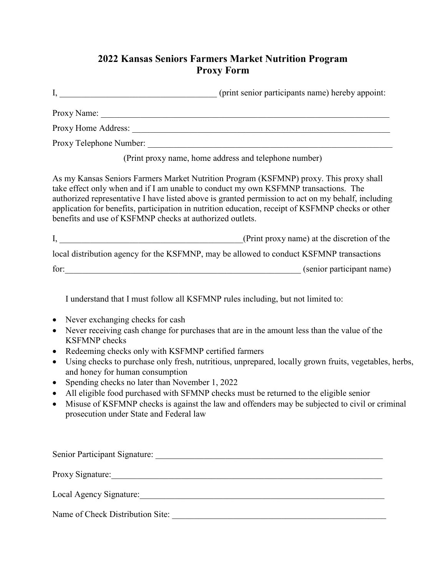## **2022 Kansas Seniors Farmers Market Nutrition Program Proxy Form**

I, \_\_\_\_\_\_\_\_\_\_\_\_\_\_\_\_\_\_\_\_\_\_\_\_\_\_\_\_\_\_\_\_\_\_\_\_ (print senior participants name) hereby appoint: Proxy Name: Proxy Home Address: \_\_\_\_\_\_\_\_\_\_\_\_\_\_\_\_\_\_\_\_\_\_\_\_\_\_\_\_\_\_\_\_\_\_\_\_\_\_\_\_\_\_\_\_\_\_\_\_\_\_\_\_\_\_\_\_\_\_\_ Proxy Telephone Number: (Print proxy name, home address and telephone number) As my Kansas Seniors Farmers Market Nutrition Program (KSFMNP) proxy. This proxy shall take effect only when and if I am unable to conduct my own KSFMNP transactions. The authorized representative I have listed above is granted permission to act on my behalf, including application for benefits, participation in nutrition education, receipt of KSFMNP checks or other benefits and use of KSFMNP checks at authorized outlets. I, the discretion of the same of the same of the discretion of the same of the same of the same of the same of the same of the same of the same of the same of the same of the same of the same of the same of the same of the local distribution agency for the KSFMNP, may be allowed to conduct KSFMNP transactions for:  $\qquad \qquad \text{(senior participant name)}$ I understand that I must follow all KSFMNP rules including, but not limited to: • Never exchanging checks for cash • Never receiving cash change for purchases that are in the amount less than the value of the KSFMNP checks • Redeeming checks only with KSFMNP certified farmers • Using checks to purchase only fresh, nutritious, unprepared, locally grown fruits, vegetables, herbs, and honey for human consumption • Spending checks no later than November 1, 2022 • All eligible food purchased with SFMNP checks must be returned to the eligible senior • Misuse of KSFMNP checks is against the law and offenders may be subjected to civil or criminal prosecution under State and Federal law

Senior Participant Signature: \_\_\_\_\_\_\_\_\_\_\_\_\_\_\_\_\_\_\_\_\_\_\_\_\_\_\_\_\_\_\_\_\_\_\_\_\_\_\_\_\_\_\_\_\_\_\_\_\_\_\_\_ Proxy Signature:\_\_\_\_\_\_\_\_\_\_\_\_\_\_\_\_\_\_\_\_\_\_\_\_\_\_\_\_\_\_\_\_\_\_\_\_\_\_\_\_\_\_\_\_\_\_\_\_\_\_\_\_\_\_\_\_\_\_\_\_\_\_ Local Agency Signature: Name of Check Distribution Site: \_\_\_\_\_\_\_\_\_\_\_\_\_\_\_\_\_\_\_\_\_\_\_\_\_\_\_\_\_\_\_\_\_\_\_\_\_\_\_\_\_\_\_\_\_\_\_\_\_